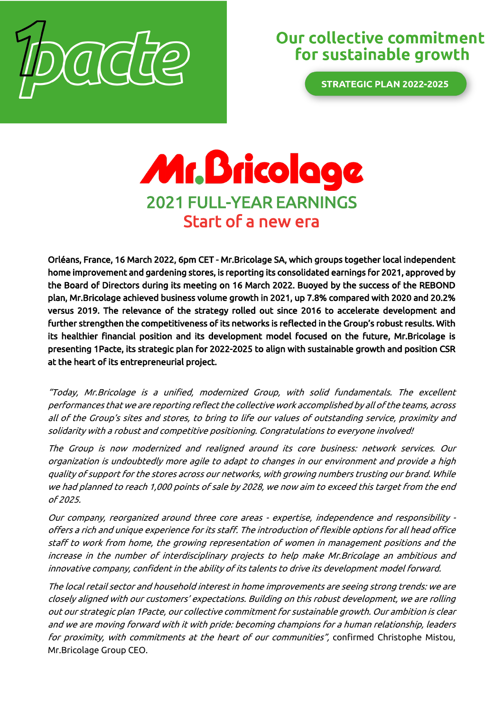

# Our collective commitment for sustainable growth

**STRATEGIC PLAN 2022-2025** 

# Mr. Bricologe 2021 FULL-YEAR EARNINGS Start of a new era

Orléans, France, 16 March 2022, 6pm CET - Mr.Bricolage SA, which groups together local independent home improvement and gardening stores, is reporting its consolidated earnings for 2021, approved by the Board of Directors during its meeting on 16 March 2022. Buoyed by the success of the REBOND plan, Mr.Bricolage achieved business volume growth in 2021, up 7.8% compared with 2020 and 20.2% versus 2019. The relevance of the strategy rolled out since 2016 to accelerate development and further strengthen the competitiveness of its networks is reflected in the Group's robust results. With its healthier financial position and its development model focused on the future, Mr.Bricolage is presenting 1Pacte, its strategic plan for 2022-2025 to align with sustainable growth and position CSR at the heart of its entrepreneurial project.

"Today, Mr.Bricolage is a unified, modernized Group, with solid fundamentals. The excellent performances that we are reporting reflect the collective work accomplished by all of the teams, across all of the Group's sites and stores, to bring to life our values of outstanding service, proximity and solidarity with a robust and competitive positioning. Congratulations to everyone involved!

The Group is now modernized and realigned around its core business: network services. Our organization is undoubtedly more agile to adapt to changes in our environment and provide a high quality of support for the stores across our networks, with growing numbers trusting our brand. While we had planned to reach 1,000 points of sale by 2028, we now aim to exceed this target from the end of 2025.

Our company, reorganized around three core areas - expertise, independence and responsibility offers a rich and unique experience for its staff. The introduction of flexible options for all head office staff to work from home, the growing representation of women in management positions and the increase in the number of interdisciplinary projects to help make Mr.Bricolage an ambitious and innovative company, confident in the ability of its talents to drive its development model forward.

The local retail sector and household interest in home improvements are seeing strong trends: we are closely aligned with our customers' expectations. Building on this robust development, we are rolling out our strategic plan 1Pacte, our collective commitment for sustainable growth. Our ambition is clear and we are moving forward with it with pride: becoming champions for a human relationship, leaders for proximity, with commitments at the heart of our communities", confirmed Christophe Mistou, Mr.Bricolage Group CEO.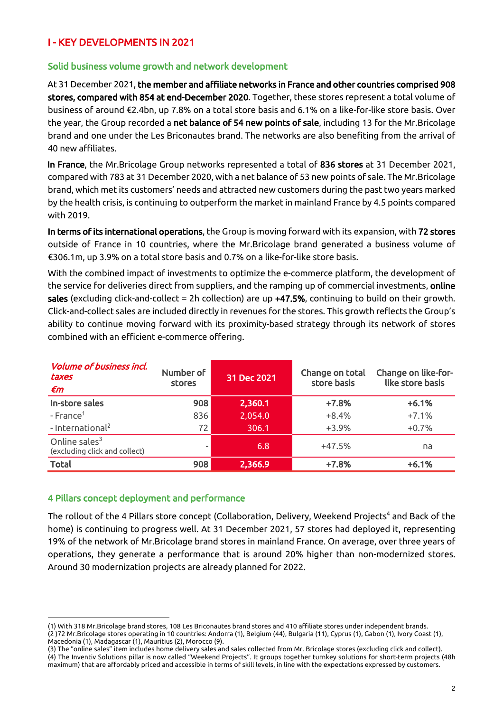## I - KEY DEVELOPMENTS IN 2021

#### Solid business volume growth and network development

At 31 December 2021, the member and affiliate networks in France and other countries comprised 908 stores, compared with 854 at end-December 2020. Together, these stores represent a total volume of business of around €2.4bn, up 7.8% on a total store basis and 6.1% on a like-for-like store basis. Over the year, the Group recorded a net balance of 54 new points of sale, including 13 for the Mr.Bricolage brand and one under the Les Briconautes brand. The networks are also benefiting from the arrival of 40 new affiliates.

In France, the Mr.Bricolage Group networks represented a total of 836 stores at 31 December 2021, compared with 783 at 31 December 2020, with a net balance of 53 new points of sale. The Mr.Bricolage brand, which met its customers' needs and attracted new customers during the past two years marked by the health crisis, is continuing to outperform the market in mainland France by 4.5 points compared with 2019.

In terms of its international operations, the Group is moving forward with its expansion, with 72 stores outside of France in 10 countries, where the Mr.Bricolage brand generated a business volume of €306.1m, up 3.9% on a total store basis and 0.7% on a like-for-like store basis.

With the combined impact of investments to optimize the e-commerce platform, the development of the service for deliveries direct from suppliers, and the ramping up of commercial investments, online sales (excluding click-and-collect = 2h collection) are up +47.5%, continuing to build on their growth. Click-and-collect sales are included directly in revenues for the stores. This growth reflects the Group's ability to continue moving forward with its proximity-based strategy through its network of stores combined with an efficient e-commerce offering.

| <i><b>Volume of business incl.</b></i><br>taxes<br>€m | Number of<br>stores | 31 Dec 2021 | Change on total<br>store basis | Change on like-for-<br>like store basis |
|-------------------------------------------------------|---------------------|-------------|--------------------------------|-----------------------------------------|
| In-store sales                                        | 908                 | 2,360.1     | $+7.8%$                        | $+6.1%$                                 |
| $-$ France <sup>1</sup>                               | 836                 | 2,054.0     | $+8.4%$                        | $+7.1%$                                 |
| - International <sup>2</sup>                          | 72                  | 306.1       | $+3.9%$                        | $+0.7%$                                 |
| Online sales $3$<br>(excluding click and collect)     |                     | 6.8         | $+47.5%$                       | na                                      |
| <b>Total</b>                                          | 908                 | 2,366.9     | $+7.8%$                        | $+6.1%$                                 |

#### 4 Pillars concept deployment and performance

The rollout of the 4 Pillars store concept (Collaboration, Delivery, Weekend Projects<sup>4</sup> and Back of the home) is continuing to progress well. At 31 December 2021, 57 stores had deployed it, representing 19% of the network of Mr.Bricolage brand stores in mainland France. On average, over three years of operations, they generate a performance that is around 20% higher than non-modernized stores. Around 30 modernization projects are already planned for 2022.

<sup>(1)</sup> With 318 Mr.Bricolage brand stores, 108 Les Briconautes brand stores and 410 affiliate stores under independent brands. (2 )72 Mr.Bricolage stores operating in 10 countries: Andorra (1), Belgium (44), Bulgaria (11), Cyprus (1), Gabon (1), Ivory Coast (1), Macedonia (1), Madagascar (1), Mauritius (2), Morocco (9).

<sup>(3)</sup> The "online sales" item includes home delivery sales and sales collected from Mr. Bricolage stores (excluding click and collect). (4) The Inventiv Solutions pillar is now called "Weekend Projects". It groups together turnkey solutions for short-term projects (48h maximum) that are affordably priced and accessible in terms of skill levels, in line with the expectations expressed by customers.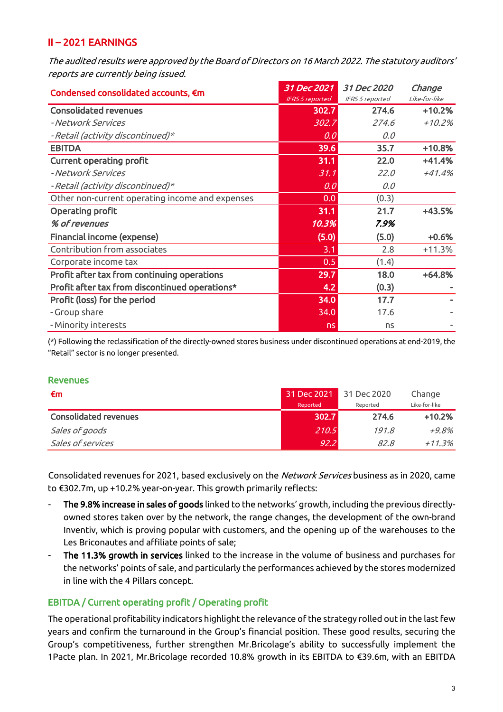## II – 2021 EARNINGS

The audited results were approved by the Board of Directors on 16 March 2022. The statutory auditors' reports are currently being issued.

| Condensed consolidated accounts, €m             | 31 Dec 2021            | 31 Dec 2020                                                                                                                                                | Change        |
|-------------------------------------------------|------------------------|------------------------------------------------------------------------------------------------------------------------------------------------------------|---------------|
|                                                 | <b>IFRS 5 reported</b> | IFRS 5 reported<br>274.6<br>274.6<br>0.0<br>35.7<br>22.0<br>22.0<br>0.0<br>(0.3)<br>21.7<br>7.9%<br>(5.0)<br>2.8<br>(1.4)<br>18.0<br>(0.3)<br>17.7<br>17.6 | Like-for-like |
| <b>Consolidated revenues</b>                    | 302.7                  |                                                                                                                                                            | $+10.2%$      |
| - Network Services                              | 302.7                  |                                                                                                                                                            | $+10.2%$      |
| - Retail (activity discontinued)*               | 0.0                    |                                                                                                                                                            |               |
| <b>EBITDA</b>                                   | 39.6                   |                                                                                                                                                            | $+10.8%$      |
| <b>Current operating profit</b>                 | 31.1                   |                                                                                                                                                            | $+41.4%$      |
| - Network Services                              | 31.1                   |                                                                                                                                                            | $+41.4%$      |
| - Retail (activity discontinued)*               | 0.0                    |                                                                                                                                                            |               |
| Other non-current operating income and expenses | 0.0                    |                                                                                                                                                            |               |
| Operating profit                                | 31.1                   |                                                                                                                                                            | $+43.5%$      |
| % of revenues                                   | 10.3%                  |                                                                                                                                                            |               |
| Financial income (expense)                      | (5.0)                  |                                                                                                                                                            | $+0.6%$       |
| Contribution from associates                    | 3.1                    |                                                                                                                                                            | $+11.3%$      |
| Corporate income tax                            | 0.5                    |                                                                                                                                                            |               |
| Profit after tax from continuing operations     | 29.7                   |                                                                                                                                                            | $+64.8%$      |
| Profit after tax from discontinued operations*  | 4.2                    |                                                                                                                                                            |               |
| Profit (loss) for the period                    | 34.0                   |                                                                                                                                                            |               |
| - Group share                                   | 34.0                   |                                                                                                                                                            |               |
| - Minority interests                            | ns                     | ns                                                                                                                                                         |               |

(\*) Following the reclassification of the directly-owned stores business under discontinued operations at end-2019, the "Retail" sector is no longer presented.

#### **Revenues**

| €m                           | 31 Dec 2021 | 31 Dec 2020 | Change        |
|------------------------------|-------------|-------------|---------------|
|                              | Reported    | Reported    | Like-for-like |
| <b>Consolidated revenues</b> | 302.7       | 274.6       | $+10.2%$      |
| Sales of goods               | 210.5       | 191.8       | $+9.8\%$      |
| Sales of services            | 92.2        | 82.8        | $+11.3%$      |

Consolidated revenues for 2021, based exclusively on the Network Services business as in 2020, came to €302.7m, up +10.2% year-on-year. This growth primarily reflects:

- The 9.8% increase in sales of goods linked to the networks' growth, including the previous directlyowned stores taken over by the network, the range changes, the development of the own-brand Inventiv, which is proving popular with customers, and the opening up of the warehouses to the Les Briconautes and affiliate points of sale;
- The 11.3% growth in services linked to the increase in the volume of business and purchases for the networks' points of sale, and particularly the performances achieved by the stores modernized in line with the 4 Pillars concept.

#### EBITDA / Current operating profit / Operating profit

The operational profitability indicators highlight the relevance of the strategy rolled out in the last few years and confirm the turnaround in the Group's financial position. These good results, securing the Group's competitiveness, further strengthen Mr.Bricolage's ability to successfully implement the 1Pacte plan. In 2021, Mr.Bricolage recorded 10.8% growth in its EBITDA to €39.6m, with an EBITDA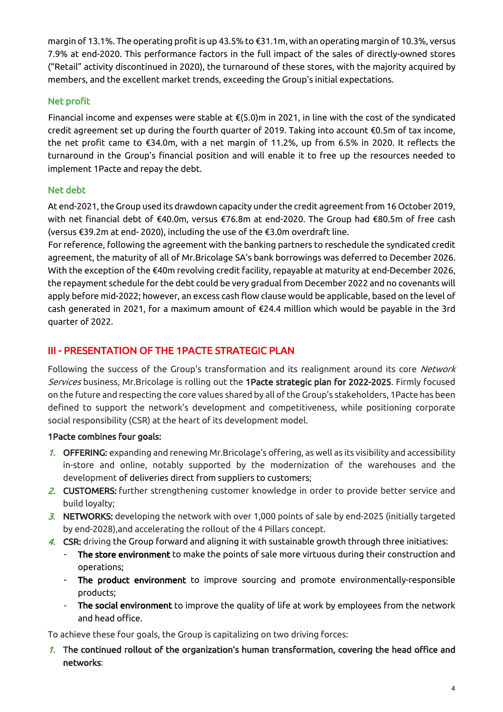margin of 13.1%. The operating profit is up 43.5% to €31.1m, with an operating margin of 10.3%, versus 7.9% at end-2020. This performance factors in the full impact of the sales of directly-owned stores ("Retail" activity discontinued in 2020), the turnaround of these stores, with the majority acquired by members, and the excellent market trends, exceeding the Group's initial expectations.

#### Net profit

Financial income and expenses were stable at €(5.0)m in 2021, in line with the cost of the syndicated credit agreement set up during the fourth quarter of 2019. Taking into account €0.5m of tax income, the net profit came to €34.0m, with a net margin of 11.2%, up from 6.5% in 2020. It reflects the turnaround in the Group's financial position and will enable it to free up the resources needed to implement 1Pacte and repay the debt.

#### Net debt

At end-2021, the Group used its drawdown capacity under the credit agreement from 16 October 2019, with net financial debt of €40.0m, versus €76.8m at end-2020. The Group had €80.5m of free cash (versus €39.2m at end- 2020), including the use of the €3.0m overdraft line.

For reference, following the agreement with the banking partners to reschedule the syndicated credit agreement, the maturity of all of Mr.Bricolage SA's bank borrowings was deferred to December 2026. With the exception of the €40m revolving credit facility, repayable at maturity at end-December 2026, the repayment schedule for the debt could be very gradual from December 2022 and no covenants will apply before mid-2022; however, an excess cash flow clause would be applicable, based on the level of cash generated in 2021, for a maximum amount of €24.4 million which would be payable in the 3rd quarter of 2022.

# III - PRESENTATION OF THE 1PACTE STRATEGIC PLAN

Following the success of the Group's transformation and its realignment around its core Network Services business, Mr.Bricolage is rolling out the 1Pacte strategic plan for 2022-2025. Firmly focused on the future and respecting the core values shared by all of the Group's stakeholders, 1Pacte has been defined to support the network's development and competitiveness, while positioning corporate social responsibility (CSR) at the heart of its development model.

#### 1Pacte combines four goals:

- 1. OFFERING: expanding and renewing Mr.Bricolage's offering, as well as its visibility and accessibility in-store and online, notably supported by the modernization of the warehouses and the development of deliveries direct from suppliers to customers;
- 2. CUSTOMERS: further strengthening customer knowledge in order to provide better service and build loyalty;
- $3.$  NETWORKS: developing the network with over 1,000 points of sale by end-2025 (initially targeted by end-2028),and accelerating the rollout of the 4 Pillars concept.
- 4. CSR: driving the Group forward and aligning it with sustainable growth through three initiatives:
	- The store environment to make the points of sale more virtuous during their construction and operations;
	- The product environment to improve sourcing and promote environmentally-responsible products;
	- The social environment to improve the quality of life at work by employees from the network and head office.

To achieve these four goals, the Group is capitalizing on two driving forces:

1. The continued rollout of the organization's human transformation, covering the head office and networks: